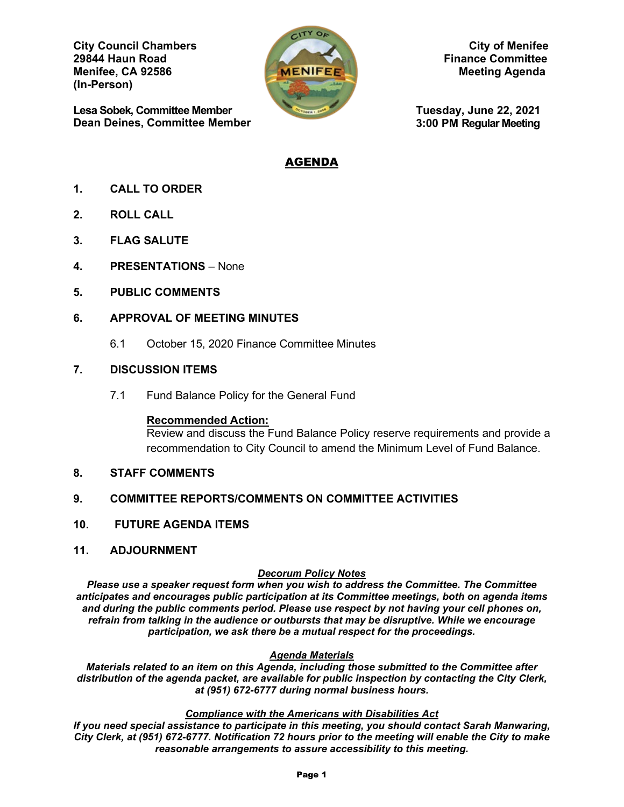**City Council Chambers** City of Menifee<br>
29844 Haun Road Finance Committee **Menifee, CA 92586 Meeting Agenda** Meeting Agenda **(In-Person)** 

**Lesa Sobek, Committee Member Dean Deines, Committee Member**



**29844 Haun Road Finance Committee**

**Tuesday, June 22, 2021 3:00 PM Regular Meeting** 

# AGENDA

- **1. CALL TO ORDER**
- **2. ROLL CALL**
- **3. FLAG SALUTE**
- **4. PRESENTATIONS** None
- **5. PUBLIC COMMENTS**

### **6. APPROVAL OF MEETING MINUTES**

6.1 October 15, 2020 Finance Committee Minutes

### **7. DISCUSSION ITEMS**

7.1 Fund Balance Policy for the General Fund

### **Recommended Action:**

Review and discuss the Fund Balance Policy reserve requirements and provide a recommendation to City Council to amend the Minimum Level of Fund Balance.

**8. STAFF COMMENTS**

# **9. COMMITTEE REPORTS/COMMENTS ON COMMITTEE ACTIVITIES**

- **10. FUTURE AGENDA ITEMS**
- **11. ADJOURNMENT**

### *Decorum Policy Notes*

*Please use a speaker request form when you wish to address the Committee. The Committee anticipates and encourages public participation at its Committee meetings, both on agenda items and during the public comments period. Please use respect by not having your cell phones on, refrain from talking in the audience or outbursts that may be disruptive. While we encourage participation, we ask there be a mutual respect for the proceedings.*

### *Agenda Materials*

*Materials related to an item on this Agenda, including those submitted to the Committee after distribution of the agenda packet, are available for public inspection by contacting the City Clerk, at (951) 672-6777 during normal business hours.* 

#### *Compliance with the Americans with Disabilities Act*

*If you need special assistance to participate in this meeting, you should contact Sarah Manwaring, City Clerk, at (951) 672-6777. Notification 72 hours prior to the meeting will enable the City to make reasonable arrangements to assure accessibility to this meeting.*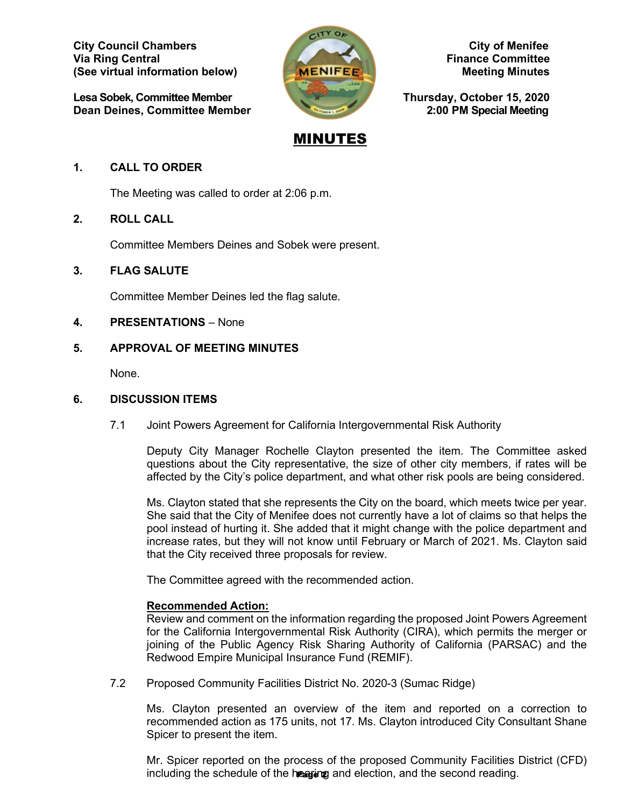**City Council Chambers City of Menifee Via Ring Central Finance Committee Finance Committee (See virtual information below) MENIFEET MENIFEET Meeting Minutes** 

Lesa Sobek, Committee Member **Thursday, October 15, 2020**<br>Dean Deines, Committee Member 2:00 PM Special Meeting **Dean Deines, Committee Member** 



# MINUTES

# **1. CALL TO ORDER**

The Meeting was called to order at 2:06 p.m.

# **2. ROLL CALL**

Committee Members Deines and Sobek were present.

# **3. FLAG SALUTE**

Committee Member Deines led the flag salute.

### **4. PRESENTATIONS** – None

# **5. APPROVAL OF MEETING MINUTES**

None.

### **6. DISCUSSION ITEMS**

7.1 Joint Powers Agreement for California Intergovernmental Risk Authority

Deputy City Manager Rochelle Clayton presented the item. The Committee asked questions about the City representative, the size of other city members, if rates will be affected by the City's police department, and what other risk pools are being considered.

Ms. Clayton stated that she represents the City on the board, which meets twice per year. She said that the City of Menifee does not currently have a lot of claims so that helps the pool instead of hurting it. She added that it might change with the police department and increase rates, but they will not know until February or March of 2021. Ms. Clayton said that the City received three proposals for review.

The Committee agreed with the recommended action.

# **Recommended Action:**

Review and comment on the information regarding the proposed Joint Powers Agreement for the California Intergovernmental Risk Authority (CIRA), which permits the merger or joining of the Public Agency Risk Sharing Authority of California (PARSAC) and the Redwood Empire Municipal Insurance Fund (REMIF).

7.2 Proposed Community Facilities District No. 2020-3 (Sumac Ridge)

Ms. Clayton presented an overview of the item and reported on a correction to recommended action as 175 units, not 17. Ms. Clayton introduced City Consultant Shane Spicer to present the item.

Mr. Spicer reported on the process of the proposed Community Facilities District (CFD) including the schedule of the hearting and election, and the second reading.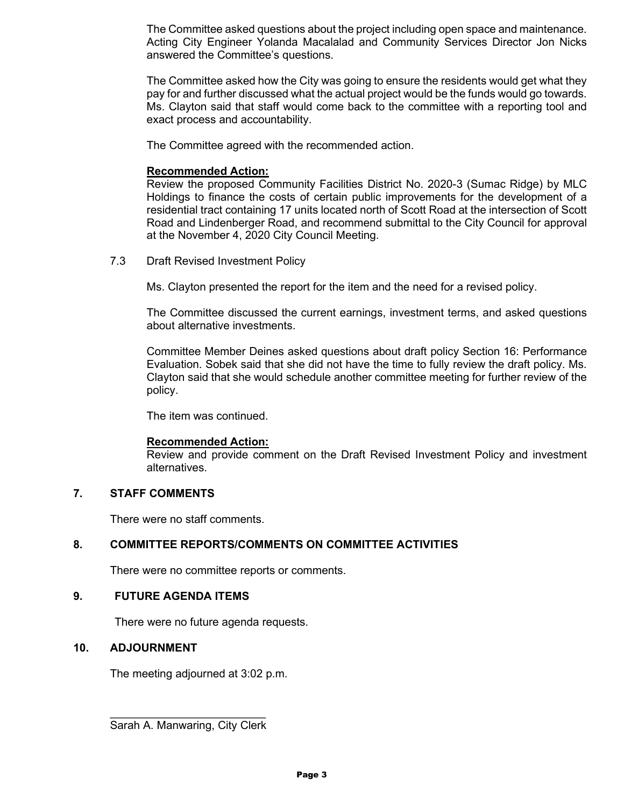The Committee asked questions about the project including open space and maintenance. Acting City Engineer Yolanda Macalalad and Community Services Director Jon Nicks answered the Committee's questions.

The Committee asked how the City was going to ensure the residents would get what they pay for and further discussed what the actual project would be the funds would go towards. Ms. Clayton said that staff would come back to the committee with a reporting tool and exact process and accountability.

The Committee agreed with the recommended action.

### **Recommended Action:**

Review the proposed Community Facilities District No. 2020-3 (Sumac Ridge) by MLC Holdings to finance the costs of certain public improvements for the development of a residential tract containing 17 units located north of Scott Road at the intersection of Scott Road and Lindenberger Road, and recommend submittal to the City Council for approval at the November 4, 2020 City Council Meeting.

7.3 Draft Revised Investment Policy

Ms. Clayton presented the report for the item and the need for a revised policy.

The Committee discussed the current earnings, investment terms, and asked questions about alternative investments.

Committee Member Deines asked questions about draft policy Section 16: Performance Evaluation. Sobek said that she did not have the time to fully review the draft policy. Ms. Clayton said that she would schedule another committee meeting for further review of the policy.

The item was continued.

### **Recommended Action:**

Review and provide comment on the Draft Revised Investment Policy and investment alternatives.

### **7. STAFF COMMENTS**

There were no staff comments.

### **8. COMMITTEE REPORTS/COMMENTS ON COMMITTEE ACTIVITIES**

There were no committee reports or comments.

### **9. FUTURE AGENDA ITEMS**

There were no future agenda requests.

### **10. ADJOURNMENT**

The meeting adjourned at 3:02 p.m.

\_\_\_\_\_\_\_\_\_\_\_\_\_\_\_\_\_\_\_\_\_\_\_\_\_ Sarah A. Manwaring, City Clerk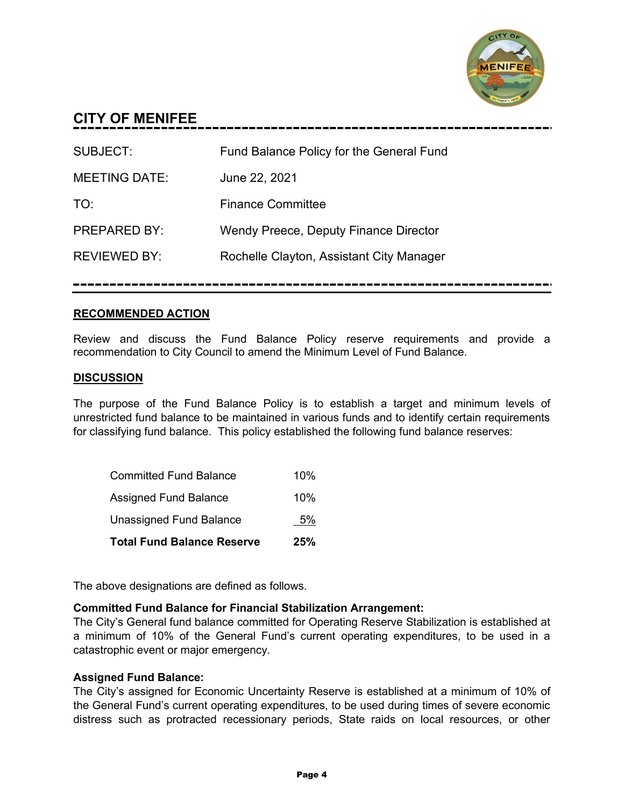

# **CITY OF MENIFEE**

| <b>SUBJECT:</b>      | Fund Balance Policy for the General Fund |
|----------------------|------------------------------------------|
| <b>MEETING DATE:</b> | June 22, 2021                            |
| TO:                  | <b>Finance Committee</b>                 |
| <b>PREPARED BY:</b>  | Wendy Preece, Deputy Finance Director    |
| <b>REVIEWED BY:</b>  | Rochelle Clayton, Assistant City Manager |
|                      |                                          |

# **RECOMMENDED ACTION**

Review and discuss the Fund Balance Policy reserve requirements and provide a recommendation to City Council to amend the Minimum Level of Fund Balance.

# **DISCUSSION**

The purpose of the Fund Balance Policy is to establish a target and minimum levels of unrestricted fund balance to be maintained in various funds and to identify certain requirements for classifying fund balance. This policy established the following fund balance reserves:

| <b>Total Fund Balance Reserve</b> | 25% |
|-----------------------------------|-----|
| <b>Unassigned Fund Balance</b>    | 5%  |
| Assigned Fund Balance             | 10% |
| <b>Committed Fund Balance</b>     | 10% |

The above designations are defined as follows.

### **Committed Fund Balance for Financial Stabilization Arrangement:**

The City's General fund balance committed for Operating Reserve Stabilization is established at a minimum of 10% of the General Fund's current operating expenditures, to be used in a catastrophic event or major emergency.

### **Assigned Fund Balance:**

The City's assigned for Economic Uncertainty Reserve is established at a minimum of 10% of the General Fund's current operating expenditures, to be used during times of severe economic distress such as protracted recessionary periods, State raids on local resources, or other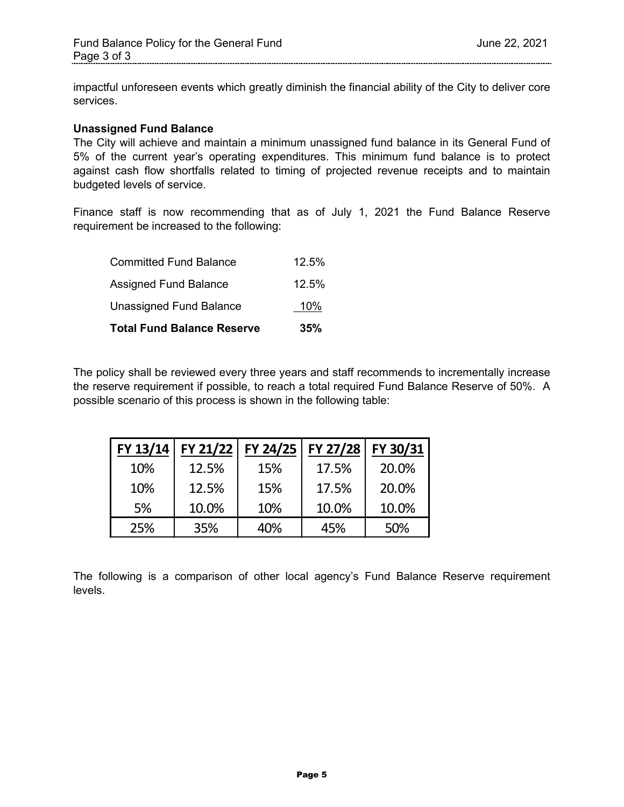impactful unforeseen events which greatly diminish the financial ability of the City to deliver core services.

### **Unassigned Fund Balance**

The City will achieve and maintain a minimum unassigned fund balance in its General Fund of 5% of the current year's operating expenditures. This minimum fund balance is to protect against cash flow shortfalls related to timing of projected revenue receipts and to maintain budgeted levels of service.

Finance staff is now recommending that as of July 1, 2021 the Fund Balance Reserve requirement be increased to the following:

| <b>Total Fund Balance Reserve</b> | 35%   |
|-----------------------------------|-------|
| Unassigned Fund Balance           | 10%   |
| <b>Assigned Fund Balance</b>      | 12.5% |
| <b>Committed Fund Balance</b>     | 12.5% |

The policy shall be reviewed every three years and staff recommends to incrementally increase the reserve requirement if possible, to reach a total required Fund Balance Reserve of 50%. A possible scenario of this process is shown in the following table:

| FY 13/14 | FY 21/22 | FY 24/25 | FY 27/28 | FY 30/31 |
|----------|----------|----------|----------|----------|
| 10%      | 12.5%    | 15%      | 17.5%    | 20.0%    |
| 10%      | 12.5%    | 15%      | 17.5%    | 20.0%    |
| 5%       | 10.0%    | 10%      | 10.0%    | 10.0%    |
| 25%      | 35%      | 40%      | 45%      | 50%      |

The following is a comparison of other local agency's Fund Balance Reserve requirement levels.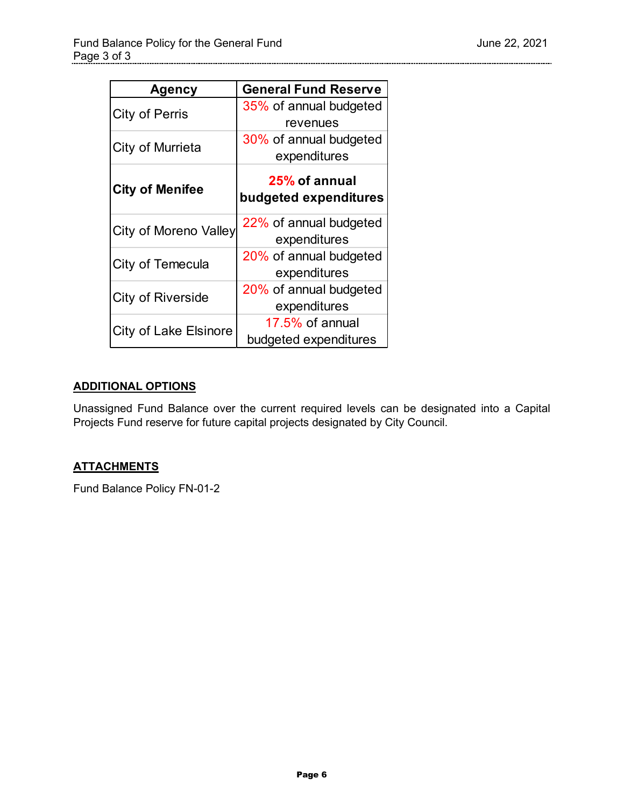| <b>Agency</b>                | <b>General Fund Reserve</b> |
|------------------------------|-----------------------------|
| <b>City of Perris</b>        | 35% of annual budgeted      |
|                              | revenues                    |
| City of Murrieta             | 30% of annual budgeted      |
|                              | expenditures                |
|                              | 25% of annual               |
| <b>City of Menifee</b>       | budgeted expenditures       |
|                              | 22% of annual budgeted      |
| <b>City of Moreno Valley</b> | expenditures                |
| City of Temecula             | 20% of annual budgeted      |
|                              | expenditures                |
| <b>City of Riverside</b>     | 20% of annual budgeted      |
|                              | expenditures                |
| <b>City of Lake Elsinore</b> | 17.5% of annual             |
|                              | budgeted expenditures       |

# **ADDITIONAL OPTIONS**

Unassigned Fund Balance over the current required levels can be designated into a Capital Projects Fund reserve for future capital projects designated by City Council.

# **ATTACHMENTS**

Fund Balance Policy FN-01-2

. . . . . . . . . . . . . . . . . . .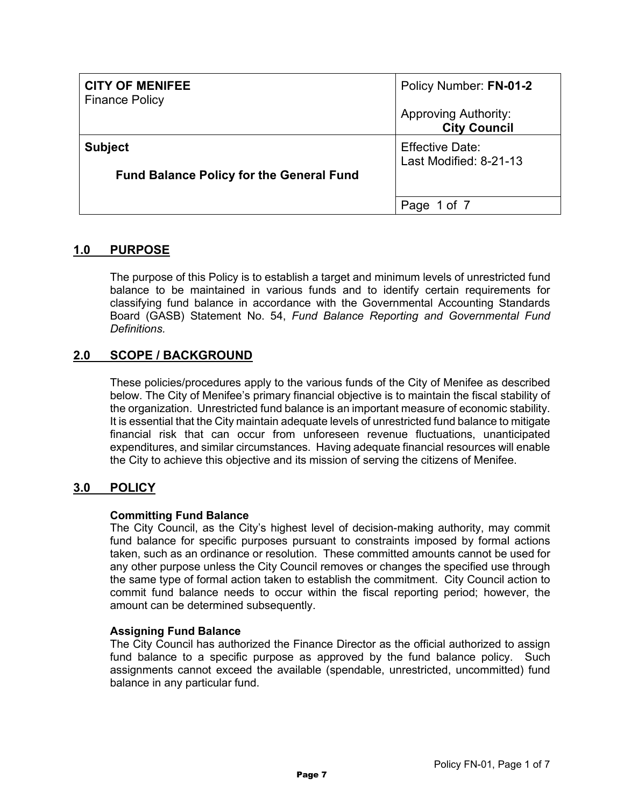| <b>CITY OF MENIFEE</b><br><b>Finance Policy</b>                   | Policy Number: FN-01-2<br><b>Approving Authority:</b><br><b>City Council</b> |
|-------------------------------------------------------------------|------------------------------------------------------------------------------|
| <b>Subject</b><br><b>Fund Balance Policy for the General Fund</b> | <b>Effective Date:</b><br>Last Modified: 8-21-13                             |
|                                                                   | 1 of 7<br>Page                                                               |

# **1.0 PURPOSE**

The purpose of this Policy is to establish a target and minimum levels of unrestricted fund balance to be maintained in various funds and to identify certain requirements for classifying fund balance in accordance with the Governmental Accounting Standards Board (GASB) Statement No. 54, *Fund Balance Reporting and Governmental Fund Definitions.*

# **2.0 SCOPE / BACKGROUND**

These policies/procedures apply to the various funds of the City of Menifee as described below. The City of Menifee's primary financial objective is to maintain the fiscal stability of the organization. Unrestricted fund balance is an important measure of economic stability. It is essential that the City maintain adequate levels of unrestricted fund balance to mitigate financial risk that can occur from unforeseen revenue fluctuations, unanticipated expenditures, and similar circumstances. Having adequate financial resources will enable the City to achieve this objective and its mission of serving the citizens of Menifee.

# **3.0 POLICY**

# **Committing Fund Balance**

The City Council, as the City's highest level of decision-making authority, may commit fund balance for specific purposes pursuant to constraints imposed by formal actions taken, such as an ordinance or resolution. These committed amounts cannot be used for any other purpose unless the City Council removes or changes the specified use through the same type of formal action taken to establish the commitment. City Council action to commit fund balance needs to occur within the fiscal reporting period; however, the amount can be determined subsequently.

# **Assigning Fund Balance**

The City Council has authorized the Finance Director as the official authorized to assign fund balance to a specific purpose as approved by the fund balance policy. Such assignments cannot exceed the available (spendable, unrestricted, uncommitted) fund balance in any particular fund.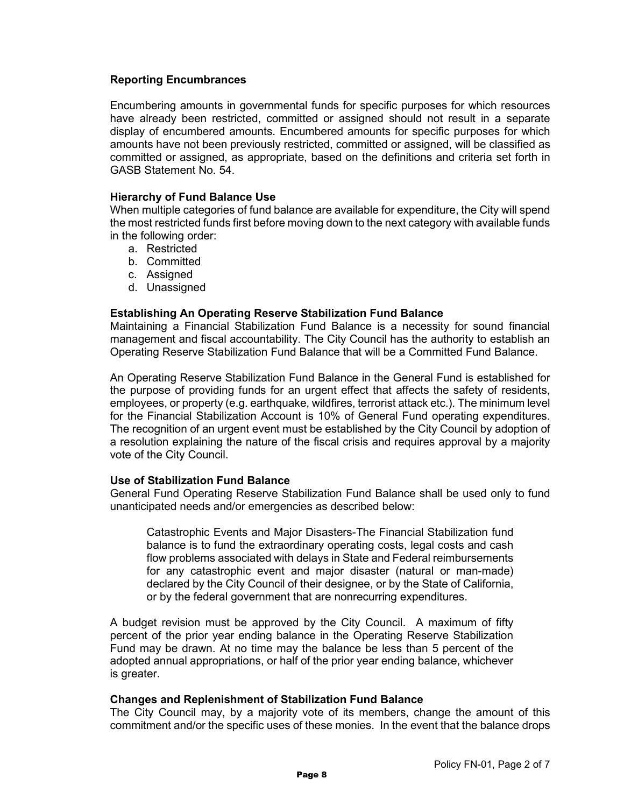### **Reporting Encumbrances**

Encumbering amounts in governmental funds for specific purposes for which resources have already been restricted, committed or assigned should not result in a separate display of encumbered amounts. Encumbered amounts for specific purposes for which amounts have not been previously restricted, committed or assigned, will be classified as committed or assigned, as appropriate, based on the definitions and criteria set forth in GASB Statement No. 54.

### **Hierarchy of Fund Balance Use**

When multiple categories of fund balance are available for expenditure, the City will spend the most restricted funds first before moving down to the next category with available funds in the following order:

- a. Restricted
- b. Committed
- c. Assigned
- d. Unassigned

### **Establishing An Operating Reserve Stabilization Fund Balance**

Maintaining a Financial Stabilization Fund Balance is a necessity for sound financial management and fiscal accountability. The City Council has the authority to establish an Operating Reserve Stabilization Fund Balance that will be a Committed Fund Balance.

An Operating Reserve Stabilization Fund Balance in the General Fund is established for the purpose of providing funds for an urgent effect that affects the safety of residents, employees, or property (e.g. earthquake, wildfires, terrorist attack etc.). The minimum level for the Financial Stabilization Account is 10% of General Fund operating expenditures. The recognition of an urgent event must be established by the City Council by adoption of a resolution explaining the nature of the fiscal crisis and requires approval by a majority vote of the City Council.

### **Use of Stabilization Fund Balance**

General Fund Operating Reserve Stabilization Fund Balance shall be used only to fund unanticipated needs and/or emergencies as described below:

Catastrophic Events and Major Disasters-The Financial Stabilization fund balance is to fund the extraordinary operating costs, legal costs and cash flow problems associated with delays in State and Federal reimbursements for any catastrophic event and major disaster (natural or man-made) declared by the City Council of their designee, or by the State of California, or by the federal government that are nonrecurring expenditures.

A budget revision must be approved by the City Council. A maximum of fifty percent of the prior year ending balance in the Operating Reserve Stabilization Fund may be drawn. At no time may the balance be less than 5 percent of the adopted annual appropriations, or half of the prior year ending balance, whichever is greater.

### **Changes and Replenishment of Stabilization Fund Balance**

The City Council may, by a majority vote of its members, change the amount of this commitment and/or the specific uses of these monies. In the event that the balance drops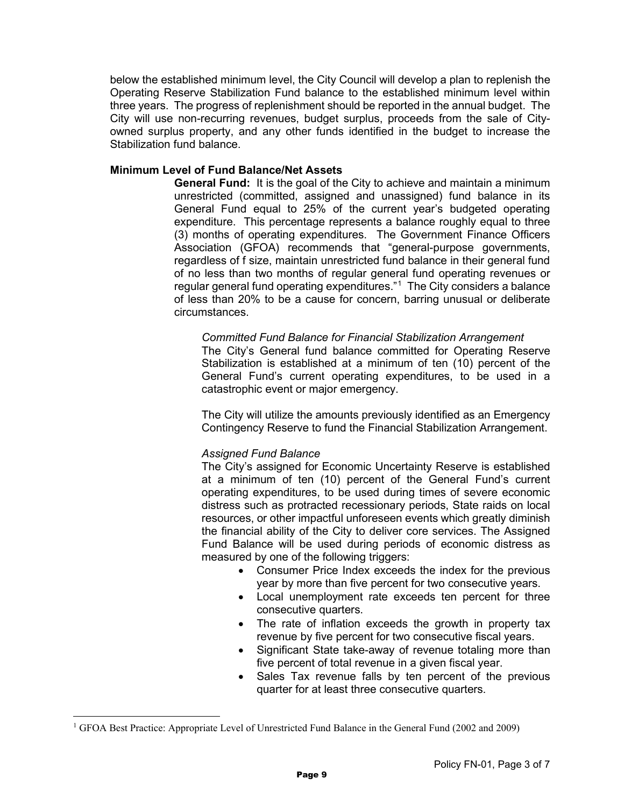below the established minimum level, the City Council will develop a plan to replenish the Operating Reserve Stabilization Fund balance to the established minimum level within three years. The progress of replenishment should be reported in the annual budget. The City will use non-recurring revenues, budget surplus, proceeds from the sale of Cityowned surplus property, and any other funds identified in the budget to increase the Stabilization fund balance.

### **Minimum Level of Fund Balance/Net Assets**

**General Fund:** It is the goal of the City to achieve and maintain a minimum unrestricted (committed, assigned and unassigned) fund balance in its General Fund equal to 25% of the current year's budgeted operating expenditure. This percentage represents a balance roughly equal to three (3) months of operating expenditures. The Government Finance Officers Association (GFOA) recommends that "general-purpose governments, regardless of f size, maintain unrestricted fund balance in their general fund of no less than two months of regular general fund operating revenues or regular general fund operating expenditures."[1](#page-8-0) The City considers a balance of less than 20% to be a cause for concern, barring unusual or deliberate circumstances.

### *Committed Fund Balance for Financial Stabilization Arrangement*

The City's General fund balance committed for Operating Reserve Stabilization is established at a minimum of ten (10) percent of the General Fund's current operating expenditures, to be used in a catastrophic event or major emergency.

The City will utilize the amounts previously identified as an Emergency Contingency Reserve to fund the Financial Stabilization Arrangement.

### *Assigned Fund Balance*

The City's assigned for Economic Uncertainty Reserve is established at a minimum of ten (10) percent of the General Fund's current operating expenditures, to be used during times of severe economic distress such as protracted recessionary periods, State raids on local resources, or other impactful unforeseen events which greatly diminish the financial ability of the City to deliver core services. The Assigned Fund Balance will be used during periods of economic distress as measured by one of the following triggers:

- Consumer Price Index exceeds the index for the previous year by more than five percent for two consecutive years.
- Local unemployment rate exceeds ten percent for three consecutive quarters.
- The rate of inflation exceeds the growth in property tax revenue by five percent for two consecutive fiscal years.
- Significant State take-away of revenue totaling more than five percent of total revenue in a given fiscal year.
- Sales Tax revenue falls by ten percent of the previous quarter for at least three consecutive quarters.

<span id="page-8-0"></span><sup>1</sup> GFOA Best Practice: Appropriate Level of Unrestricted Fund Balance in the General Fund (2002 and 2009)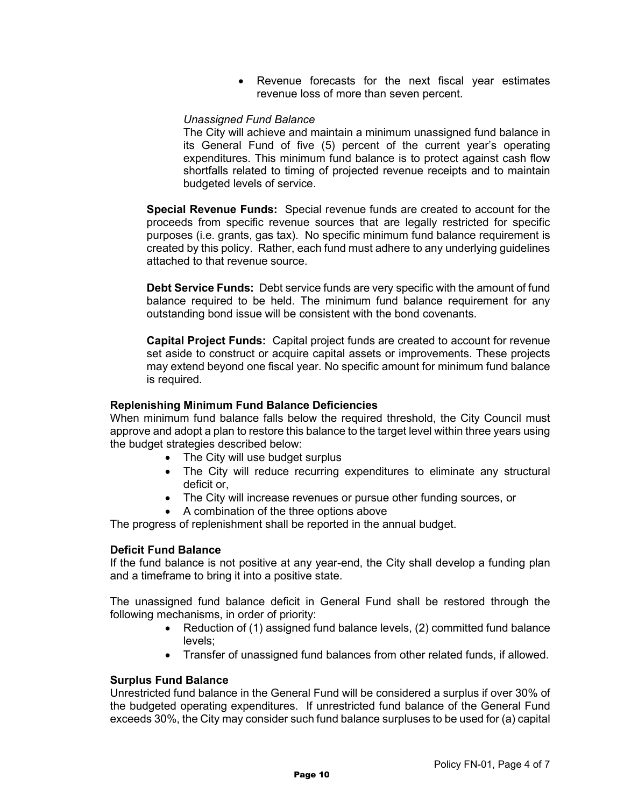• Revenue forecasts for the next fiscal year estimates revenue loss of more than seven percent.

### *Unassigned Fund Balance*

The City will achieve and maintain a minimum unassigned fund balance in its General Fund of five (5) percent of the current year's operating expenditures. This minimum fund balance is to protect against cash flow shortfalls related to timing of projected revenue receipts and to maintain budgeted levels of service.

**Special Revenue Funds:** Special revenue funds are created to account for the proceeds from specific revenue sources that are legally restricted for specific purposes (i.e. grants, gas tax). No specific minimum fund balance requirement is created by this policy. Rather, each fund must adhere to any underlying guidelines attached to that revenue source.

**Debt Service Funds:** Debt service funds are very specific with the amount of fund balance required to be held. The minimum fund balance requirement for any outstanding bond issue will be consistent with the bond covenants.

**Capital Project Funds:** Capital project funds are created to account for revenue set aside to construct or acquire capital assets or improvements. These projects may extend beyond one fiscal year. No specific amount for minimum fund balance is required.

### **Replenishing Minimum Fund Balance Deficiencies**

When minimum fund balance falls below the required threshold, the City Council must approve and adopt a plan to restore this balance to the target level within three years using the budget strategies described below:

- The City will use budget surplus
- The City will reduce recurring expenditures to eliminate any structural deficit or,
- The City will increase revenues or pursue other funding sources, or
- A combination of the three options above

The progress of replenishment shall be reported in the annual budget.

### **Deficit Fund Balance**

If the fund balance is not positive at any year-end, the City shall develop a funding plan and a timeframe to bring it into a positive state.

The unassigned fund balance deficit in General Fund shall be restored through the following mechanisms, in order of priority:

- Reduction of (1) assigned fund balance levels, (2) committed fund balance levels;
- Transfer of unassigned fund balances from other related funds, if allowed.

### **Surplus Fund Balance**

Unrestricted fund balance in the General Fund will be considered a surplus if over 30% of the budgeted operating expenditures. If unrestricted fund balance of the General Fund exceeds 30%, the City may consider such fund balance surpluses to be used for (a) capital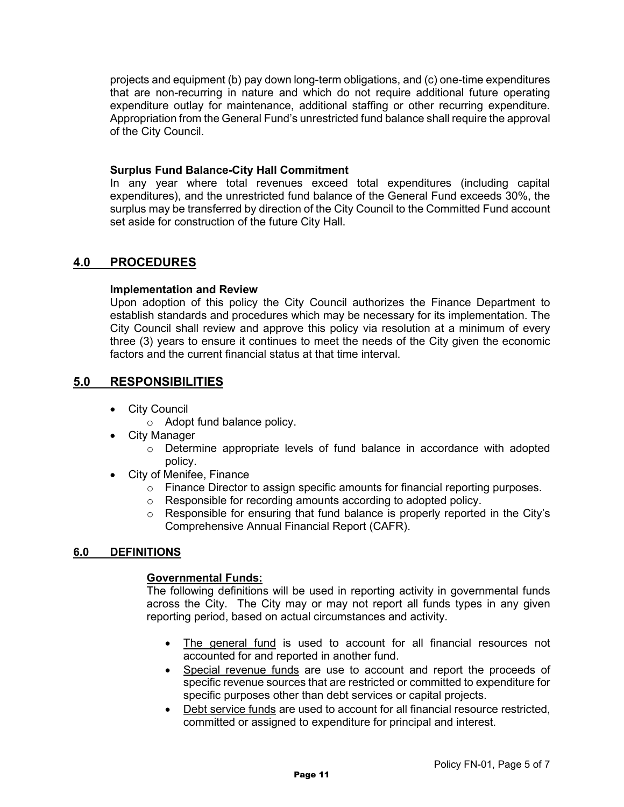projects and equipment (b) pay down long-term obligations, and (c) one-time expenditures that are non-recurring in nature and which do not require additional future operating expenditure outlay for maintenance, additional staffing or other recurring expenditure. Appropriation from the General Fund's unrestricted fund balance shall require the approval of the City Council.

### **Surplus Fund Balance-City Hall Commitment**

In any year where total revenues exceed total expenditures (including capital expenditures), and the unrestricted fund balance of the General Fund exceeds 30%, the surplus may be transferred by direction of the City Council to the Committed Fund account set aside for construction of the future City Hall.

# **4.0 PROCEDURES**

### **Implementation and Review**

Upon adoption of this policy the City Council authorizes the Finance Department to establish standards and procedures which may be necessary for its implementation. The City Council shall review and approve this policy via resolution at a minimum of every three (3) years to ensure it continues to meet the needs of the City given the economic factors and the current financial status at that time interval.

# **5.0 RESPONSIBILITIES**

- City Council
	- o Adopt fund balance policy.
- City Manager
	- o Determine appropriate levels of fund balance in accordance with adopted policy.
- City of Menifee, Finance
	- o Finance Director to assign specific amounts for financial reporting purposes.
	- o Responsible for recording amounts according to adopted policy.
	- $\circ$  Responsible for ensuring that fund balance is properly reported in the City's Comprehensive Annual Financial Report (CAFR).

# **6.0 DEFINITIONS**

### **Governmental Funds:**

The following definitions will be used in reporting activity in governmental funds across the City. The City may or may not report all funds types in any given reporting period, based on actual circumstances and activity.

- The general fund is used to account for all financial resources not accounted for and reported in another fund.
- Special revenue funds are use to account and report the proceeds of specific revenue sources that are restricted or committed to expenditure for specific purposes other than debt services or capital projects.
- Debt service funds are used to account for all financial resource restricted, committed or assigned to expenditure for principal and interest.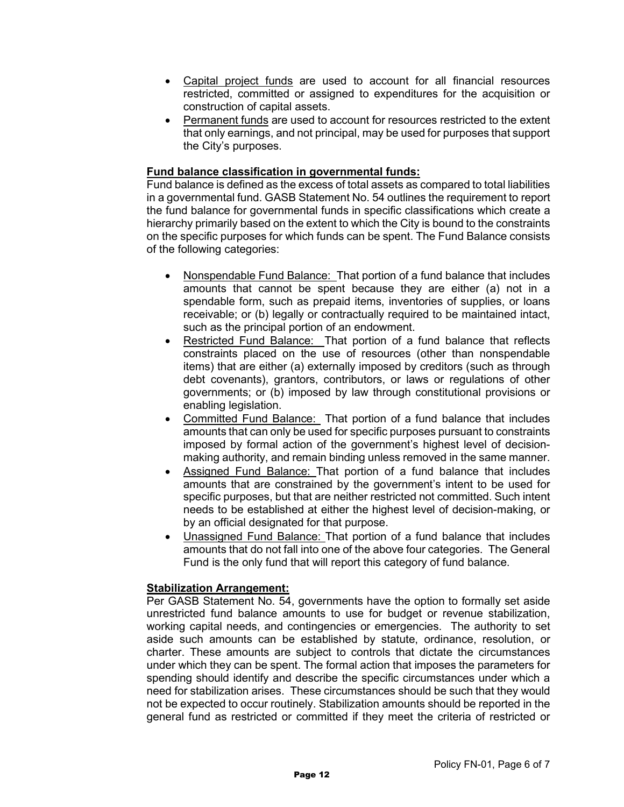- Capital project funds are used to account for all financial resources restricted, committed or assigned to expenditures for the acquisition or construction of capital assets.
- Permanent funds are used to account for resources restricted to the extent that only earnings, and not principal, may be used for purposes that support the City's purposes.

### **Fund balance classification in governmental funds:**

Fund balance is defined as the excess of total assets as compared to total liabilities in a governmental fund. GASB Statement No. 54 outlines the requirement to report the fund balance for governmental funds in specific classifications which create a hierarchy primarily based on the extent to which the City is bound to the constraints on the specific purposes for which funds can be spent. The Fund Balance consists of the following categories:

- Nonspendable Fund Balance: That portion of a fund balance that includes amounts that cannot be spent because they are either (a) not in a spendable form, such as prepaid items, inventories of supplies, or loans receivable; or (b) legally or contractually required to be maintained intact, such as the principal portion of an endowment.
- Restricted Fund Balance: That portion of a fund balance that reflects constraints placed on the use of resources (other than nonspendable items) that are either (a) externally imposed by creditors (such as through debt covenants), grantors, contributors, or laws or regulations of other governments; or (b) imposed by law through constitutional provisions or enabling legislation.
- Committed Fund Balance: That portion of a fund balance that includes amounts that can only be used for specific purposes pursuant to constraints imposed by formal action of the government's highest level of decisionmaking authority, and remain binding unless removed in the same manner.
- Assigned Fund Balance: That portion of a fund balance that includes amounts that are constrained by the government's intent to be used for specific purposes, but that are neither restricted not committed. Such intent needs to be established at either the highest level of decision-making, or by an official designated for that purpose.
- Unassigned Fund Balance: That portion of a fund balance that includes amounts that do not fall into one of the above four categories. The General Fund is the only fund that will report this category of fund balance.

### **Stabilization Arrangement:**

Per GASB Statement No. 54, governments have the option to formally set aside unrestricted fund balance amounts to use for budget or revenue stabilization, working capital needs, and contingencies or emergencies. The authority to set aside such amounts can be established by statute, ordinance, resolution, or charter. These amounts are subject to controls that dictate the circumstances under which they can be spent. The formal action that imposes the parameters for spending should identify and describe the specific circumstances under which a need for stabilization arises. These circumstances should be such that they would not be expected to occur routinely. Stabilization amounts should be reported in the general fund as restricted or committed if they meet the criteria of restricted or